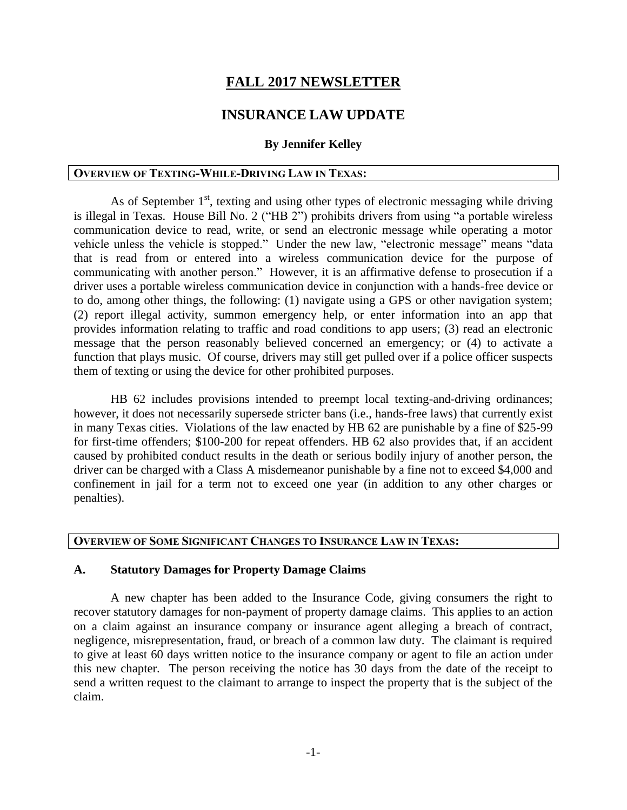# **FALL 2017 NEWSLETTER**

# **INSURANCE LAW UPDATE**

#### **By Jennifer Kelley**

#### **OVERVIEW OF TEXTING-WHILE-DRIVING LAW IN TEXAS:**

As of September  $1<sup>st</sup>$ , texting and using other types of electronic messaging while driving is illegal in Texas. House Bill No. 2 ("HB 2") prohibits drivers from using "a portable wireless communication device to read, write, or send an electronic message while operating a motor vehicle unless the vehicle is stopped." Under the new law, "electronic message" means "data that is read from or entered into a wireless communication device for the purpose of communicating with another person." However, it is an affirmative defense to prosecution if a driver uses a portable wireless communication device in conjunction with a hands-free device or to do, among other things, the following: (1) navigate using a GPS or other navigation system; (2) report illegal activity, summon emergency help, or enter information into an app that provides information relating to traffic and road conditions to app users; (3) read an electronic message that the person reasonably believed concerned an emergency; or (4) to activate a function that plays music. Of course, drivers may still get pulled over if a police officer suspects them of texting or using the device for other prohibited purposes.

HB 62 includes provisions intended to preempt local texting-and-driving ordinances; however, it does not necessarily supersede stricter bans (i.e., hands-free laws) that currently exist in many Texas cities. Violations of the law enacted by HB 62 are punishable by a fine of \$25-99 for first-time offenders; \$100-200 for repeat offenders. HB 62 also provides that, if an accident caused by prohibited conduct results in the death or serious bodily injury of another person, the driver can be charged with a Class A misdemeanor punishable by a fine not to exceed \$4,000 and confinement in jail for a term not to exceed one year (in addition to any other charges or penalties).

## **OVERVIEW OF SOME SIGNIFICANT CHANGES TO INSURANCE LAW IN TEXAS:**

#### **A. Statutory Damages for Property Damage Claims**

A new chapter has been added to the Insurance Code, giving consumers the right to recover statutory damages for non-payment of property damage claims. This applies to an action on a claim against an insurance company or insurance agent alleging a breach of contract, negligence, misrepresentation, fraud, or breach of a common law duty. The claimant is required to give at least 60 days written notice to the insurance company or agent to file an action under this new chapter. The person receiving the notice has 30 days from the date of the receipt to send a written request to the claimant to arrange to inspect the property that is the subject of the claim.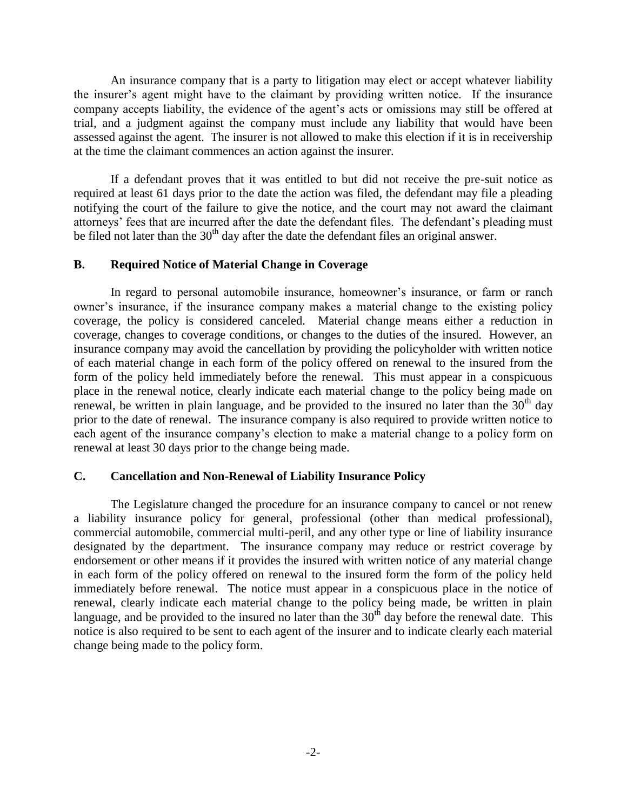An insurance company that is a party to litigation may elect or accept whatever liability the insurer's agent might have to the claimant by providing written notice. If the insurance company accepts liability, the evidence of the agent's acts or omissions may still be offered at trial, and a judgment against the company must include any liability that would have been assessed against the agent. The insurer is not allowed to make this election if it is in receivership at the time the claimant commences an action against the insurer.

If a defendant proves that it was entitled to but did not receive the pre-suit notice as required at least 61 days prior to the date the action was filed, the defendant may file a pleading notifying the court of the failure to give the notice, and the court may not award the claimant attorneys' fees that are incurred after the date the defendant files. The defendant's pleading must be filed not later than the  $30<sup>th</sup>$  day after the date the defendant files an original answer.

### **B. Required Notice of Material Change in Coverage**

In regard to personal automobile insurance, homeowner's insurance, or farm or ranch owner's insurance, if the insurance company makes a material change to the existing policy coverage, the policy is considered canceled. Material change means either a reduction in coverage, changes to coverage conditions, or changes to the duties of the insured. However, an insurance company may avoid the cancellation by providing the policyholder with written notice of each material change in each form of the policy offered on renewal to the insured from the form of the policy held immediately before the renewal. This must appear in a conspicuous place in the renewal notice, clearly indicate each material change to the policy being made on renewal, be written in plain language, and be provided to the insured no later than the 30<sup>th</sup> day prior to the date of renewal. The insurance company is also required to provide written notice to each agent of the insurance company's election to make a material change to a policy form on renewal at least 30 days prior to the change being made.

### **C. Cancellation and Non-Renewal of Liability Insurance Policy**

The Legislature changed the procedure for an insurance company to cancel or not renew a liability insurance policy for general, professional (other than medical professional), commercial automobile, commercial multi-peril, and any other type or line of liability insurance designated by the department. The insurance company may reduce or restrict coverage by endorsement or other means if it provides the insured with written notice of any material change in each form of the policy offered on renewal to the insured form the form of the policy held immediately before renewal. The notice must appear in a conspicuous place in the notice of renewal, clearly indicate each material change to the policy being made, be written in plain language, and be provided to the insured no later than the  $30<sup>th</sup>$  day before the renewal date. This notice is also required to be sent to each agent of the insurer and to indicate clearly each material change being made to the policy form.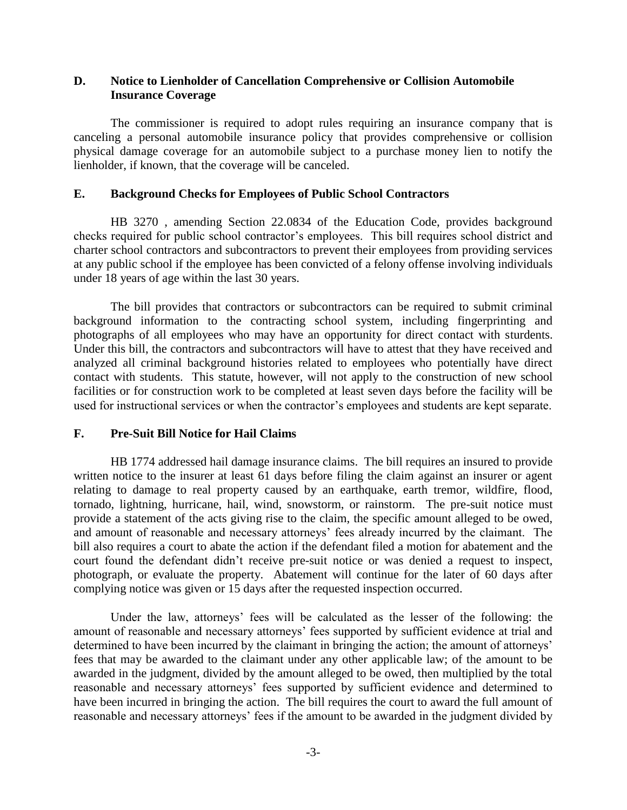### **D. Notice to Lienholder of Cancellation Comprehensive or Collision Automobile Insurance Coverage**

The commissioner is required to adopt rules requiring an insurance company that is canceling a personal automobile insurance policy that provides comprehensive or collision physical damage coverage for an automobile subject to a purchase money lien to notify the lienholder, if known, that the coverage will be canceled.

### **E. Background Checks for Employees of Public School Contractors**

HB 3270 , amending Section 22.0834 of the Education Code, provides background checks required for public school contractor's employees. This bill requires school district and charter school contractors and subcontractors to prevent their employees from providing services at any public school if the employee has been convicted of a felony offense involving individuals under 18 years of age within the last 30 years.

The bill provides that contractors or subcontractors can be required to submit criminal background information to the contracting school system, including fingerprinting and photographs of all employees who may have an opportunity for direct contact with sturdents. Under this bill, the contractors and subcontractors will have to attest that they have received and analyzed all criminal background histories related to employees who potentially have direct contact with students. This statute, however, will not apply to the construction of new school facilities or for construction work to be completed at least seven days before the facility will be used for instructional services or when the contractor's employees and students are kept separate.

### **F. Pre-Suit Bill Notice for Hail Claims**

HB 1774 addressed hail damage insurance claims. The bill requires an insured to provide written notice to the insurer at least 61 days before filing the claim against an insurer or agent relating to damage to real property caused by an earthquake, earth tremor, wildfire, flood, tornado, lightning, hurricane, hail, wind, snowstorm, or rainstorm. The pre-suit notice must provide a statement of the acts giving rise to the claim, the specific amount alleged to be owed, and amount of reasonable and necessary attorneys' fees already incurred by the claimant. The bill also requires a court to abate the action if the defendant filed a motion for abatement and the court found the defendant didn't receive pre-suit notice or was denied a request to inspect, photograph, or evaluate the property. Abatement will continue for the later of 60 days after complying notice was given or 15 days after the requested inspection occurred.

Under the law, attorneys' fees will be calculated as the lesser of the following: the amount of reasonable and necessary attorneys' fees supported by sufficient evidence at trial and determined to have been incurred by the claimant in bringing the action; the amount of attorneys' fees that may be awarded to the claimant under any other applicable law; of the amount to be awarded in the judgment, divided by the amount alleged to be owed, then multiplied by the total reasonable and necessary attorneys' fees supported by sufficient evidence and determined to have been incurred in bringing the action. The bill requires the court to award the full amount of reasonable and necessary attorneys' fees if the amount to be awarded in the judgment divided by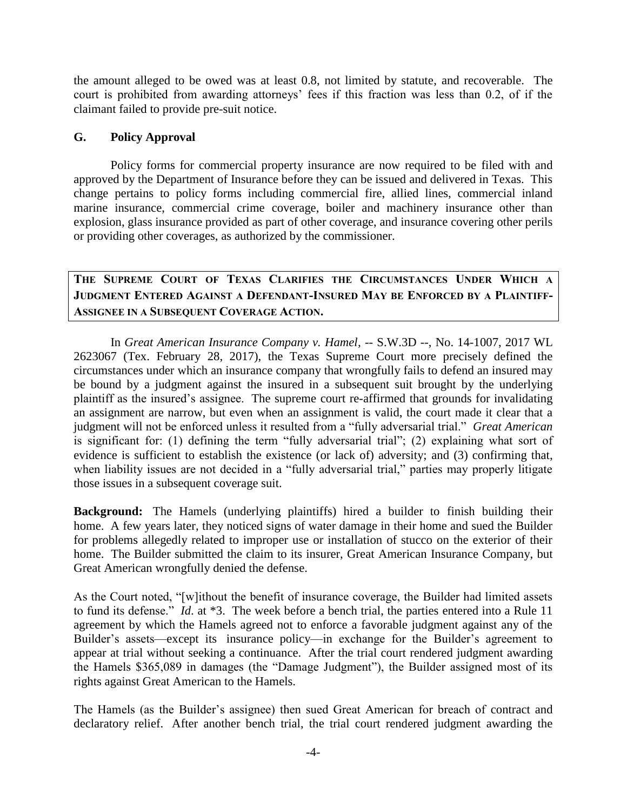the amount alleged to be owed was at least 0.8, not limited by statute, and recoverable. The court is prohibited from awarding attorneys' fees if this fraction was less than 0.2, of if the claimant failed to provide pre-suit notice.

## **G. Policy Approval**

Policy forms for commercial property insurance are now required to be filed with and approved by the Department of Insurance before they can be issued and delivered in Texas. This change pertains to policy forms including commercial fire, allied lines, commercial inland marine insurance, commercial crime coverage, boiler and machinery insurance other than explosion, glass insurance provided as part of other coverage, and insurance covering other perils or providing other coverages, as authorized by the commissioner.

**THE SUPREME COURT OF TEXAS CLARIFIES THE CIRCUMSTANCES UNDER WHICH A JUDGMENT ENTERED AGAINST A DEFENDANT-INSURED MAY BE ENFORCED BY A PLAINTIFF-ASSIGNEE IN A SUBSEQUENT COVERAGE ACTION.**

In *Great American Insurance Company v. Hamel,* -- S.W.3D --, No. 14-1007, 2017 WL 2623067 (Tex. February 28, 2017), the Texas Supreme Court more precisely defined the circumstances under which an insurance company that wrongfully fails to defend an insured may be bound by a judgment against the insured in a subsequent suit brought by the underlying plaintiff as the insured's assignee. The supreme court re-affirmed that grounds for invalidating an assignment are narrow, but even when an assignment is valid, the court made it clear that a judgment will not be enforced unless it resulted from a "fully adversarial trial." *Great American* is significant for: (1) defining the term "fully adversarial trial"; (2) explaining what sort of evidence is sufficient to establish the existence (or lack of) adversity; and (3) confirming that, when liability issues are not decided in a "fully adversarial trial," parties may properly litigate those issues in a subsequent coverage suit.

**Background:** The Hamels (underlying plaintiffs) hired a builder to finish building their home. A few years later, they noticed signs of water damage in their home and sued the Builder for problems allegedly related to improper use or installation of stucco on the exterior of their home. The Builder submitted the claim to its insurer, Great American Insurance Company, but Great American wrongfully denied the defense.

As the Court noted, "[w]ithout the benefit of insurance coverage, the Builder had limited assets to fund its defense." *Id*. at \*3. The week before a bench trial, the parties entered into a Rule 11 agreement by which the Hamels agreed not to enforce a favorable judgment against any of the Builder's assets—except its insurance policy—in exchange for the Builder's agreement to appear at trial without seeking a continuance. After the trial court rendered judgment awarding the Hamels \$365,089 in damages (the "Damage Judgment"), the Builder assigned most of its rights against Great American to the Hamels.

The Hamels (as the Builder's assignee) then sued Great American for breach of contract and declaratory relief. After another bench trial, the trial court rendered judgment awarding the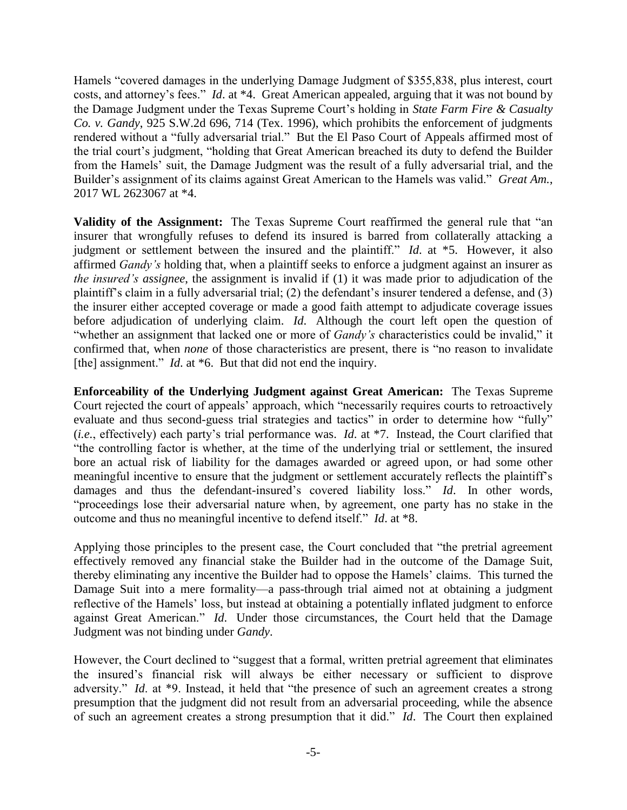Hamels "covered damages in the underlying Damage Judgment of \$355,838, plus interest, court costs, and attorney's fees." *Id*. at \*4. Great American appealed, arguing that it was not bound by the Damage Judgment under the Texas Supreme Court's holding in *State Farm Fire & Casualty Co. v. Gandy*, 925 S.W.2d 696, 714 (Tex. 1996), which prohibits the enforcement of judgments rendered without a "fully adversarial trial." But the El Paso Court of Appeals affirmed most of the trial court's judgment, "holding that Great American breached its duty to defend the Builder from the Hamels' suit, the Damage Judgment was the result of a fully adversarial trial, and the Builder's assignment of its claims against Great American to the Hamels was valid." *Great Am.*, 2017 WL 2623067 at \*4.

**Validity of the Assignment:** The Texas Supreme Court reaffirmed the general rule that "an insurer that wrongfully refuses to defend its insured is barred from collaterally attacking a judgment or settlement between the insured and the plaintiff." *Id*. at \*5. However, it also affirmed *Gandy's* holding that, when a plaintiff seeks to enforce a judgment against an insurer as *the insured's assignee*, the assignment is invalid if (1) it was made prior to adjudication of the plaintiff's claim in a fully adversarial trial; (2) the defendant's insurer tendered a defense, and (3) the insurer either accepted coverage or made a good faith attempt to adjudicate coverage issues before adjudication of underlying claim. *Id*. Although the court left open the question of "whether an assignment that lacked one or more of *Gandy's* characteristics could be invalid," it confirmed that, when *none* of those characteristics are present, there is "no reason to invalidate [the] assignment." *Id.* at \*6. But that did not end the inquiry.

**Enforceability of the Underlying Judgment against Great American:** The Texas Supreme Court rejected the court of appeals' approach, which "necessarily requires courts to retroactively evaluate and thus second-guess trial strategies and tactics" in order to determine how "fully" (*i.e.*, effectively) each party's trial performance was. *Id*. at \*7. Instead, the Court clarified that "the controlling factor is whether, at the time of the underlying trial or settlement, the insured bore an actual risk of liability for the damages awarded or agreed upon, or had some other meaningful incentive to ensure that the judgment or settlement accurately reflects the plaintiff's damages and thus the defendant-insured's covered liability loss." *Id*. In other words, "proceedings lose their adversarial nature when, by agreement, one party has no stake in the outcome and thus no meaningful incentive to defend itself." *Id*. at \*8.

Applying those principles to the present case, the Court concluded that "the pretrial agreement effectively removed any financial stake the Builder had in the outcome of the Damage Suit, thereby eliminating any incentive the Builder had to oppose the Hamels' claims. This turned the Damage Suit into a mere formality—a pass-through trial aimed not at obtaining a judgment reflective of the Hamels' loss, but instead at obtaining a potentially inflated judgment to enforce against Great American." *Id*. Under those circumstances, the Court held that the Damage Judgment was not binding under *Gandy*.

However, the Court declined to "suggest that a formal, written pretrial agreement that eliminates the insured's financial risk will always be either necessary or sufficient to disprove adversity." *Id*. at \*9. Instead, it held that "the presence of such an agreement creates a strong presumption that the judgment did not result from an adversarial proceeding, while the absence of such an agreement creates a strong presumption that it did." *Id*. The Court then explained